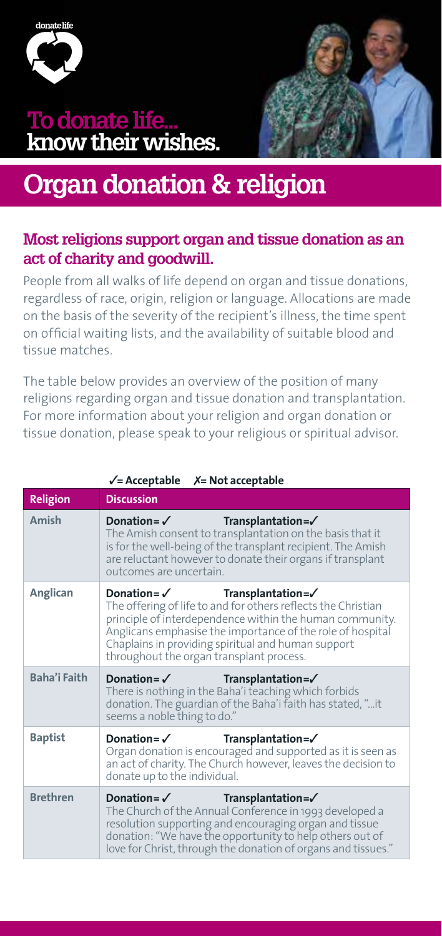

### **To donate life... know their wishes.**



## **Organ donation & religion**

#### **Most religions support organ and tissue donation as an act of charity and goodwill.**

People from all walks of life depend on organ and tissue donations, regardless of race, origin, religion or language. Allocations are made on the basis of the severity of the recipient's illness, the time spent on official waiting lists, and the availability of suitable blood and tissue matches.

The table below provides an overview of the position of many religions regarding organ and tissue donation and transplantation. For more information about your religion and organ donation or tissue donation, please speak to your religious or spiritual advisor.

| <b>Religion</b> | <b>Discussion</b>                                                                                                                                                                                                                                                                                                                                 |
|-----------------|---------------------------------------------------------------------------------------------------------------------------------------------------------------------------------------------------------------------------------------------------------------------------------------------------------------------------------------------------|
| Amish           | Donation= $\checkmark$ Transplantation= $\checkmark$<br>The Amish consent to transplantation on the basis that it<br>is for the well-being of the transplant recipient. The Amish<br>are reluctant however to donate their organs if transplant<br>outcomes are uncertain.                                                                        |
| Anglican        | Donation= $\checkmark$ Transplantation= $\checkmark$<br>The offering of life to and for others reflects the Christian<br>principle of interdependence within the human community.<br>Anglicans emphasise the importance of the role of hospital<br>Chaplains in providing spiritual and human support<br>throughout the organ transplant process. |
| Baha'i Faith    | $Donation = \checkmark$ Transplantation= $\checkmark$<br>There is nothing in the Baha'i teaching which forbids<br>donation. The guardian of the Baha'i faith has stated, "it<br>seems a noble thing to do."                                                                                                                                       |
| <b>Baptist</b>  | Donation= $\checkmark$ Transplantation= $\checkmark$<br>Organ donation is encouraged and supported as it is seen as<br>an act of charity. The Church however, leaves the decision to<br>donate up to the individual.                                                                                                                              |
| <b>Brethren</b> | Donation = $\checkmark$<br>Transplantation= $\checkmark$<br>The Church of the Annual Conference in 1993 developed a<br>resolution supporting and encouraging organ and tissue<br>donation: "We have the opportunity to help others out of<br>love for Christ, through the donation of organs and tissues."                                        |

#### 3**= Acceptable** 7**= Not acceptable**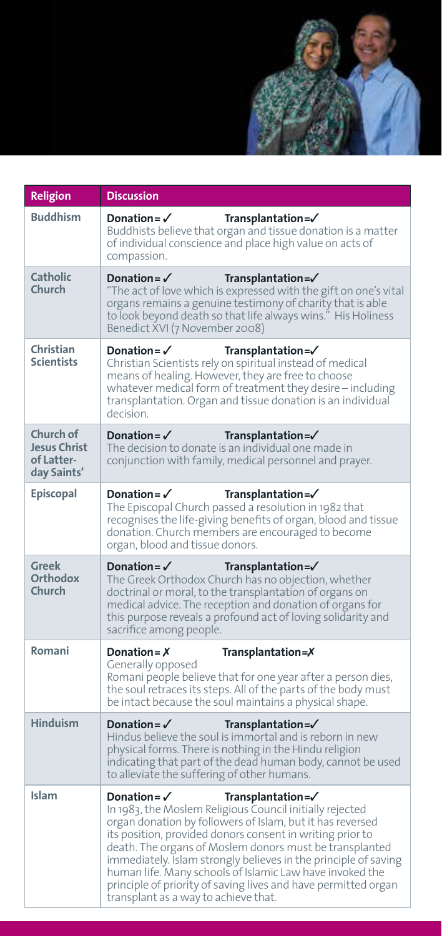

| Religion                                                      | <b>Discussion</b>                                                                                                                                                                                                                                                                                                                                                                                                                                                                                                                      |
|---------------------------------------------------------------|----------------------------------------------------------------------------------------------------------------------------------------------------------------------------------------------------------------------------------------------------------------------------------------------------------------------------------------------------------------------------------------------------------------------------------------------------------------------------------------------------------------------------------------|
| <b>Buddhism</b>                                               | Transplantation=/<br>Donation = $\checkmark$<br>Buddhists believe that organ and tissue donation is a matter<br>of individual conscience and place high value on acts of<br>compassion.                                                                                                                                                                                                                                                                                                                                                |
| Catholic<br>Church                                            | Donation = $\checkmark$<br>$Transplantation = \checkmark$<br>"The act of love which is expressed with the gift on one's vital<br>organs remains a genuine testimony of charity that is able<br>to look beyond death so that life always wins." His Holiness<br>Benedict XVI (7 November 2008)                                                                                                                                                                                                                                          |
| Christian<br><b>Scientists</b>                                | Donation = $\checkmark$<br>$Transplantation = \checkmark$<br>Christian Scientists rely on spiritual instead of medical<br>means of healing. However, they are free to choose<br>whatever medical form of treatment they desire - including<br>transplantation. Organ and tissue donation is an individual<br>decision.                                                                                                                                                                                                                 |
| Church of<br><b>Jesus Christ</b><br>of Latter-<br>day Saints' | Donation= $\checkmark$<br>$Transplantation = \checkmark$<br>The decision to donate is an individual one made in<br>conjunction with family, medical personnel and prayer.                                                                                                                                                                                                                                                                                                                                                              |
| <b>Episcopal</b>                                              | Donation = $\checkmark$<br>$Transplantation = \checkmark$<br>The Episcopal Church passed a resolution in 1982 that<br>recognises the life-giving benefits of organ, blood and tissue<br>donation. Church members are encouraged to become<br>organ, blood and tissue donors.                                                                                                                                                                                                                                                           |
| Greek<br><b>Orthodox</b><br>Church                            | Donation = $\checkmark$<br>$Transplantation = \checkmark$<br>The Greek Orthodox Church has no objection, whether<br>doctrinal or moral, to the transplantation of organs on<br>medical advice. The reception and donation of organs for<br>this purpose reveals a profound act of loving solidarity and<br>sacrifice among people.                                                                                                                                                                                                     |
| Romani                                                        | Donation = $X$<br>Transplantation=X                                                                                                                                                                                                                                                                                                                                                                                                                                                                                                    |
|                                                               | Generally opposed<br>Romani people believe that for one year after a person dies,<br>the soul retraces its steps. All of the parts of the body must<br>be intact because the soul maintains a physical shape.                                                                                                                                                                                                                                                                                                                          |
| <b>Hinduism</b>                                               | Donation = $\checkmark$<br>$Transplantation = \checkmark$<br>Hindus believe the soul is immortal and is reborn in new<br>physical forms. There is nothing in the Hindu religion<br>indicating that part of the dead human body, cannot be used<br>to alleviate the suffering of other humans.                                                                                                                                                                                                                                          |
| Islam                                                         | Donation = $\checkmark$<br>Transplantation=√<br>In 1983, the Moslem Religious Council initially rejected<br>organ donation by followers of Islam, but it has reversed<br>its position, provided donors consent in writing prior to<br>death. The organs of Moslem donors must be transplanted<br>immediately. Islam strongly believes in the principle of saving<br>human life. Many schools of Islamic Law have invoked the<br>principle of priority of saving lives and have permitted organ<br>transplant as a way to achieve that. |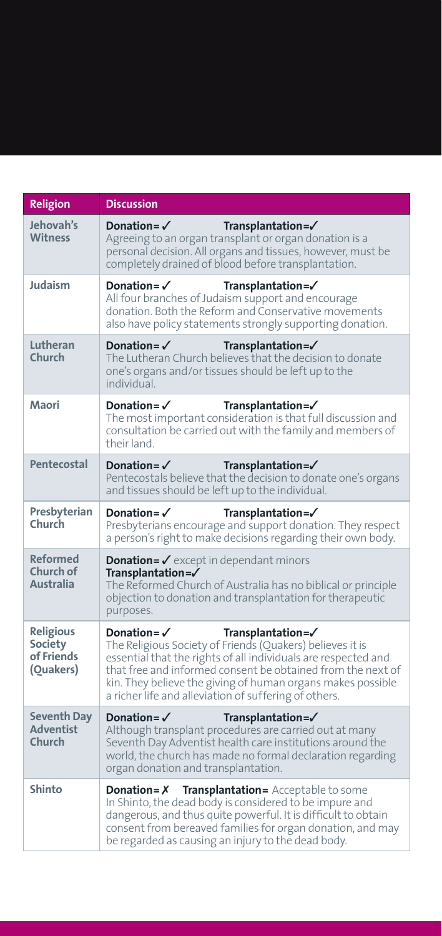| Religion                                                      | Discussion                                                                                                                                                                                                                                                                                                                                                        |
|---------------------------------------------------------------|-------------------------------------------------------------------------------------------------------------------------------------------------------------------------------------------------------------------------------------------------------------------------------------------------------------------------------------------------------------------|
| Jehovah's<br><b>Witness</b>                                   | Donation = $\checkmark$<br>$Transplantation = \checkmark$<br>Agreeing to an organ transplant or organ donation is a<br>personal decision. All organs and tissues, however, must be<br>completely drained of blood before transplantation.                                                                                                                         |
| Judaism                                                       | Donation= $\checkmark$<br>$Transplantation = \checkmark$<br>All four branches of Judaism support and encourage<br>donation. Both the Reform and Conservative movements<br>also have policy statements strongly supporting donation.                                                                                                                               |
| Lutheran<br>Church                                            | Donation = $\checkmark$<br>$Transplantation = \checkmark$<br>The Lutheran Church believes that the decision to donate<br>one's organs and/or tissues should be left up to the<br>individual                                                                                                                                                                       |
| Maori                                                         | Donation = $\checkmark$<br>Transplantation=/<br>The most important consideration is that full discussion and<br>consultation be carried out with the family and members of<br>their land.                                                                                                                                                                         |
| Pentecostal                                                   | Donation = $\sqrt{ }$<br>$Transplantation = \checkmark$<br>Pentecostals believe that the decision to donate one's organs<br>and tissues should be left up to the individual.                                                                                                                                                                                      |
| Presbyterian<br>Church                                        | Donation = $\checkmark$<br>$Transplantation = \checkmark$<br>Presbyterians encourage and support donation. They respect<br>a person's right to make decisions regarding their own body.                                                                                                                                                                           |
| <b>Reformed</b><br>Church of<br><b>Australia</b>              | <b>Donation = <math>\checkmark</math></b> except in dependant minors<br>$Transplantation = \checkmark$<br>The Reformed Church of Australia has no biblical or principle<br>objection to donation and transplantation for therapeutic<br>purposes.                                                                                                                 |
| <b>Religious</b><br><b>Society</b><br>of Friends<br>(Quakers) | Donation= $\checkmark$<br>Transplantation=√<br>The Religious Society of Friends (Quakers) believes it is<br>essential that the rights of all individuals are respected and<br>that free and informed consent be obtained from the next of<br>kin. They believe the giving of human organs makes possible<br>a richer life and alleviation of suffering of others. |
| <b>Seventh Day</b><br><b>Adventist</b><br>Church              | Donation = $\checkmark$<br>Transplantation=/<br>Although transplant procedures are carried out at many<br>Seventh Day Adventist health care institutions around the<br>world, the church has made no formal declaration regarding<br>organ donation and transplantation.                                                                                          |
| Shinto                                                        | Transplantation= Acceptable to some<br>Donation = $X$<br>In Shinto, the dead body is considered to be impure and<br>dangerous, and thus quite powerful. It is difficult to obtain<br>consent from bereaved families for organ donation, and may<br>be regarded as causing an injury to the dead body.                                                             |